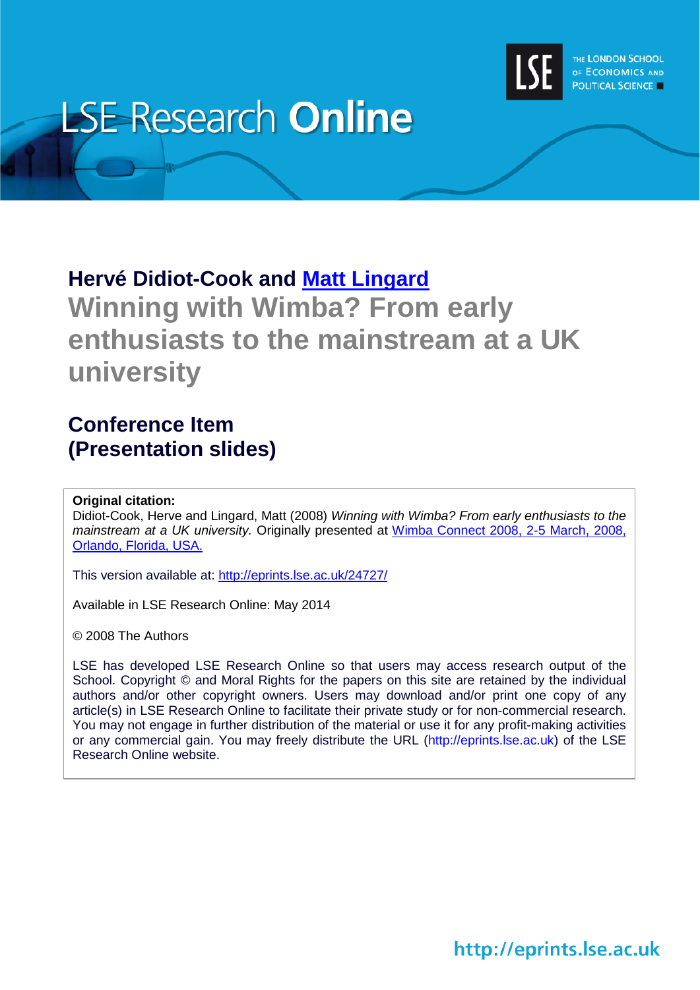

# **LSE Research Online**

## **Hervé Didiot-Cook and [Matt Lingard](http://www.lse.ac.uk/researchAndExpertise/Experts/profile.aspx?KeyValue=m.j.lingard@lse.ac.uk) Winning with Wimba? From early enthusiasts to the mainstream at a UK university**

### **Conference Item (Presentation slides)**

#### **Original citation:**

Didiot-Cook, Herve and Lingard, Matt (2008) *Winning with Wimba? From early enthusiasts to the mainstream at a UK university.* Originally presented at [Wimba Connect 2008, 2-5 March, 2008,](http://www.wimba.com/company/newsroom/archive/registration_now_open_for_wimba_connect_2008)  [Orlando, Florida, USA.](http://www.wimba.com/company/newsroom/archive/registration_now_open_for_wimba_connect_2008)

This version available at:<http://eprints.lse.ac.uk/24727/>

Available in LSE Research Online: May 2014

© 2008 The Authors

LSE has developed LSE Research Online so that users may access research output of the School. Copyright © and Moral Rights for the papers on this site are retained by the individual authors and/or other copyright owners. Users may download and/or print one copy of any article(s) in LSE Research Online to facilitate their private study or for non-commercial research. You may not engage in further distribution of the material or use it for any profit-making activities or any commercial gain. You may freely distribute the URL (http://eprints.lse.ac.uk) of the LSE Research Online website.

http://eprints.lse.ac.uk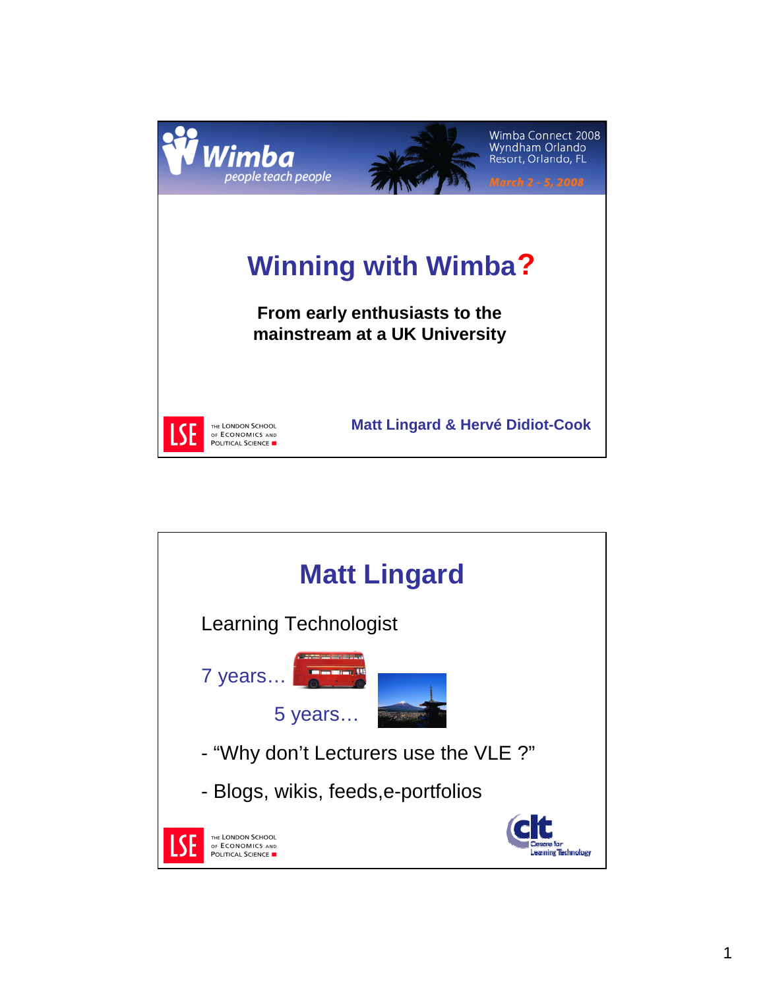

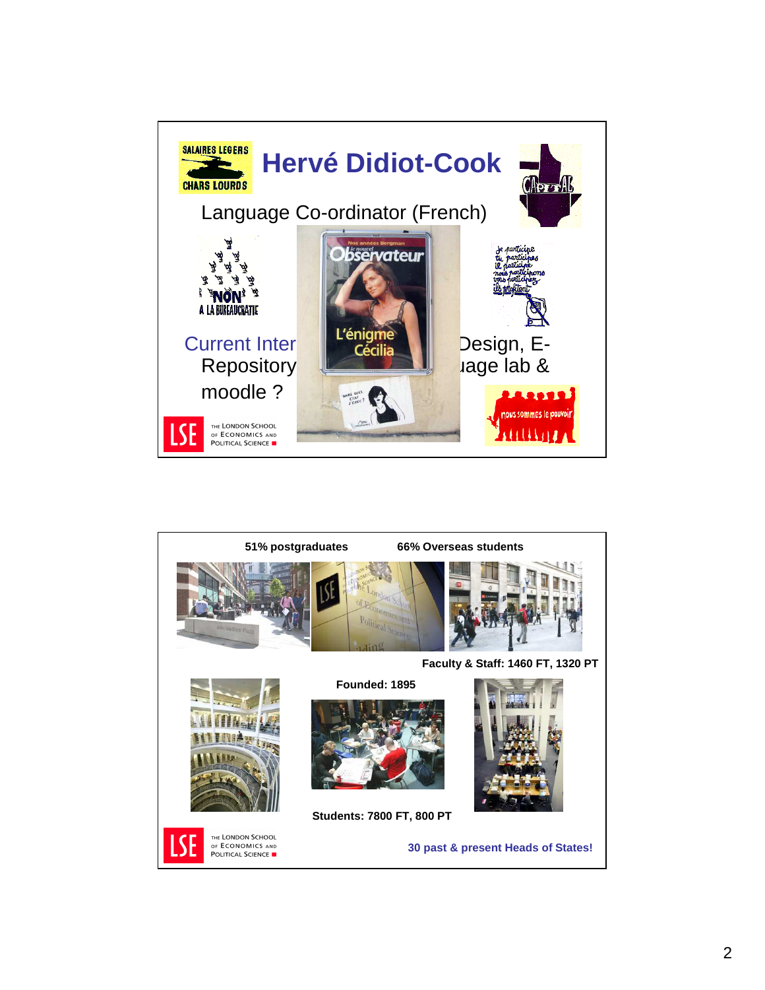

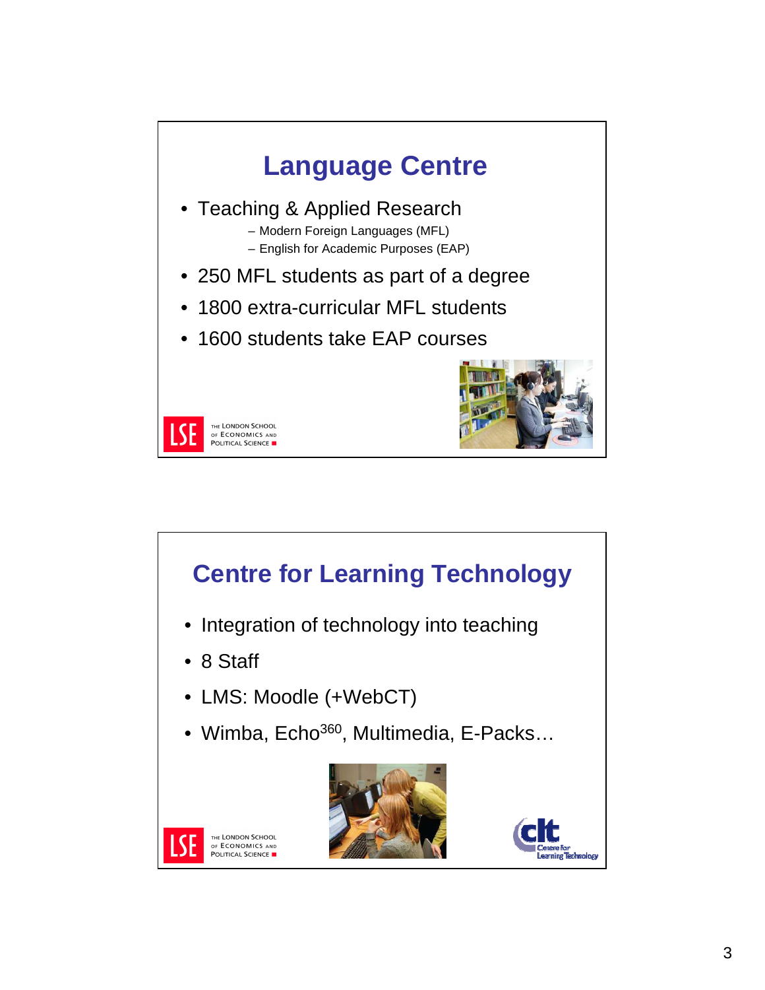



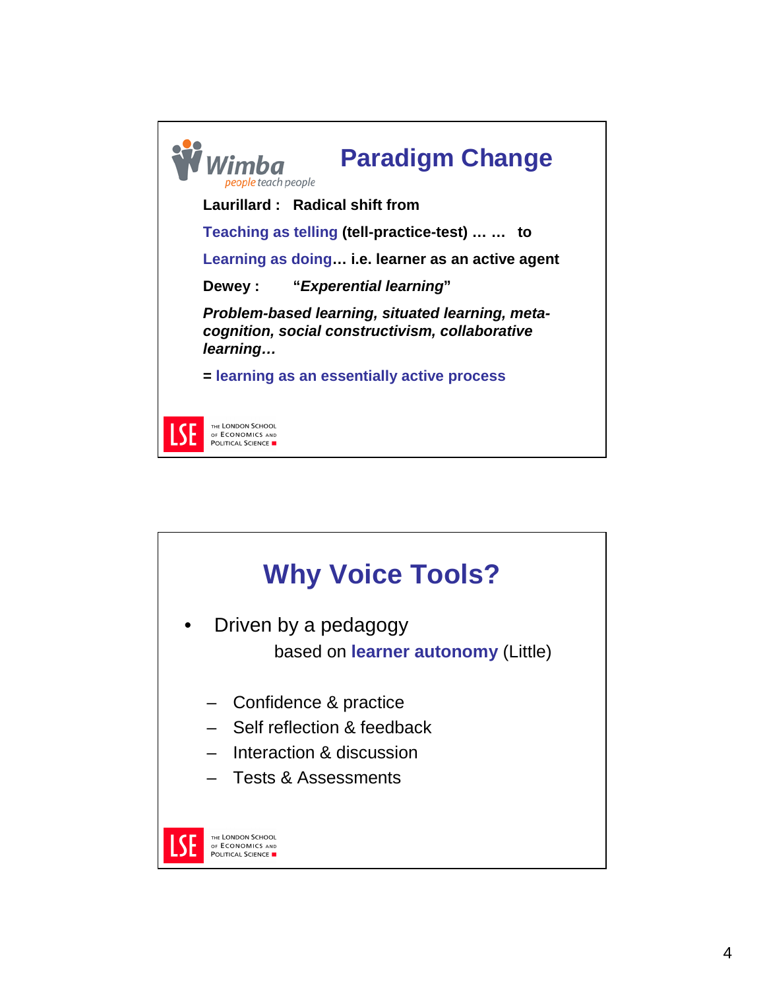

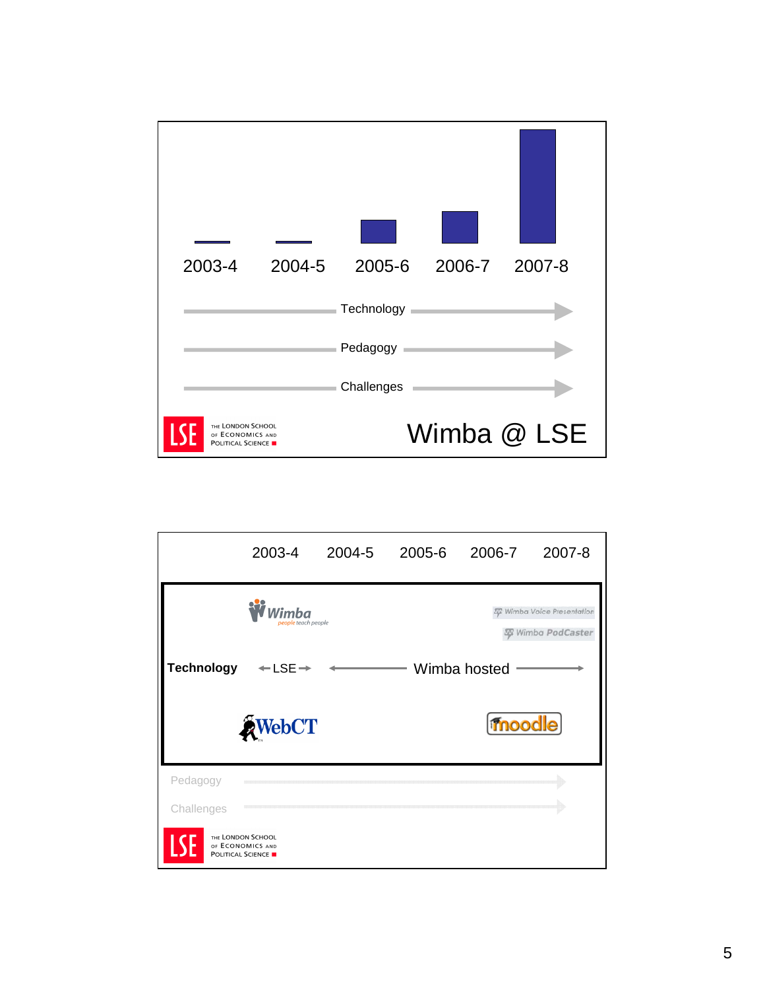

|                   | 2003-4                                                            | 2004-5              | 2005-6 | 2006-7       | 2007-8                                                              |  |
|-------------------|-------------------------------------------------------------------|---------------------|--------|--------------|---------------------------------------------------------------------|--|
|                   | Wimba                                                             | people teach people |        |              | <b>ST Wimba Voice Presentation</b><br>Wimba PodCaster<br>$\sqrt{2}$ |  |
| <b>Technology</b> | $+$ LSE $\rightarrow$                                             |                     |        | Wimba hosted |                                                                     |  |
|                   | <b>AWebCT</b>                                                     |                     |        | moodle)      |                                                                     |  |
| Pedagogy          |                                                                   |                     |        |              |                                                                     |  |
| Challenges        |                                                                   |                     |        |              |                                                                     |  |
| <b>A\;</b>        | THE LONDON SCHOOL<br>OF ECONOMICS AND<br><b>POLITICAL SCIENCE</b> |                     |        |              |                                                                     |  |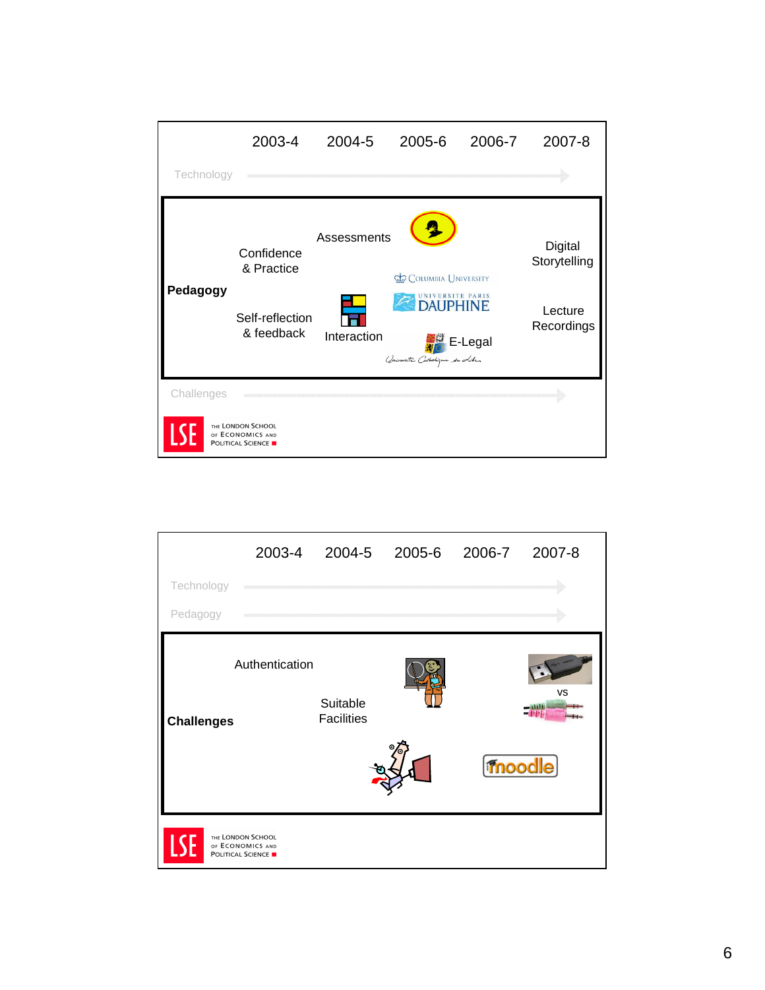|                                                                   | 2003-4                                                    | 2004-5                     | 2005-6                                                                                          | 2006-7  | 2007-8                                           |  |
|-------------------------------------------------------------------|-----------------------------------------------------------|----------------------------|-------------------------------------------------------------------------------------------------|---------|--------------------------------------------------|--|
| Technology                                                        |                                                           |                            |                                                                                                 |         |                                                  |  |
| Pedagogy                                                          | Confidence<br>& Practice<br>Self-reflection<br>& feedback | Assessments<br>Interaction | <b>COLUMBIA UNIVERSITY</b><br>NIVERSITE PARIS<br><b>DAUPHINE</b><br>Ominante Catholique de Lile | E-Legal | Digital<br>Storytelling<br>Lecture<br>Recordings |  |
| Challenges                                                        |                                                           |                            |                                                                                                 |         |                                                  |  |
| THE LONDON SCHOOL<br>OF ECONOMICS AND<br><b>POLITICAL SCIENCE</b> |                                                           |                            |                                                                                                 |         |                                                  |  |

|                   | 2003-4                                                            | 2004-5                        | 2005-6 | 2006-7 | 2007-8    |
|-------------------|-------------------------------------------------------------------|-------------------------------|--------|--------|-----------|
| Technology        |                                                                   |                               |        |        |           |
| Pedagogy          |                                                                   |                               |        |        |           |
| <b>Challenges</b> | Authentication                                                    | Suitable<br><b>Facilities</b> |        | moodle | <b>VS</b> |
| <b>SF</b>         | THE LONDON SCHOOL<br>OF ECONOMICS AND<br><b>POLITICAL SCIENCE</b> |                               |        |        |           |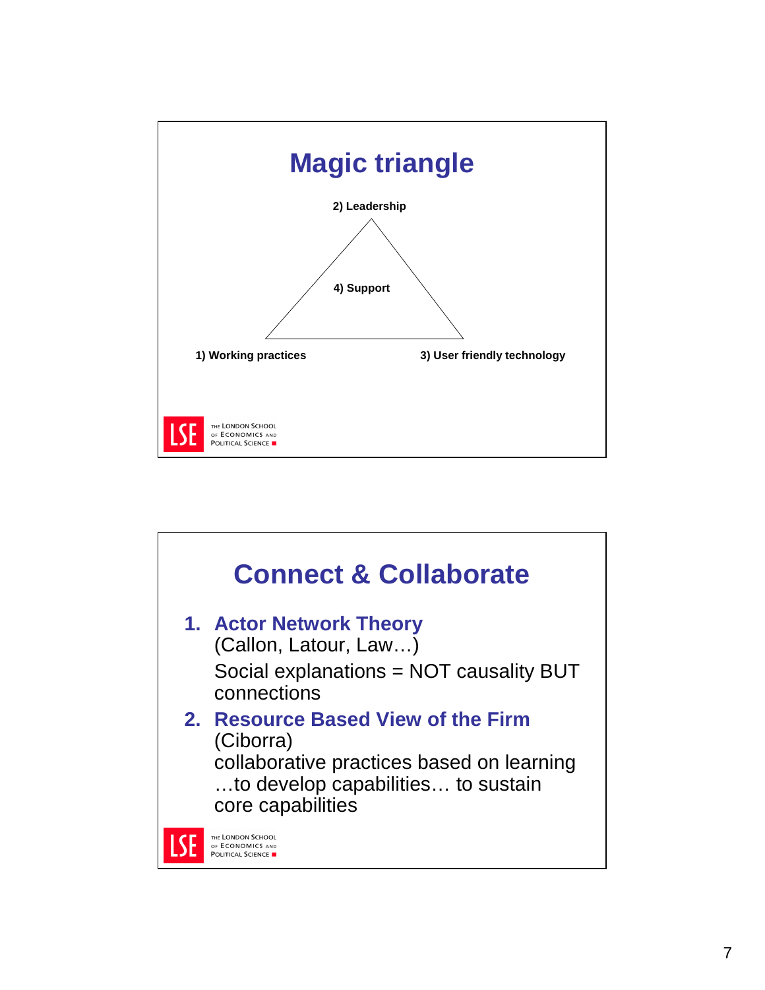

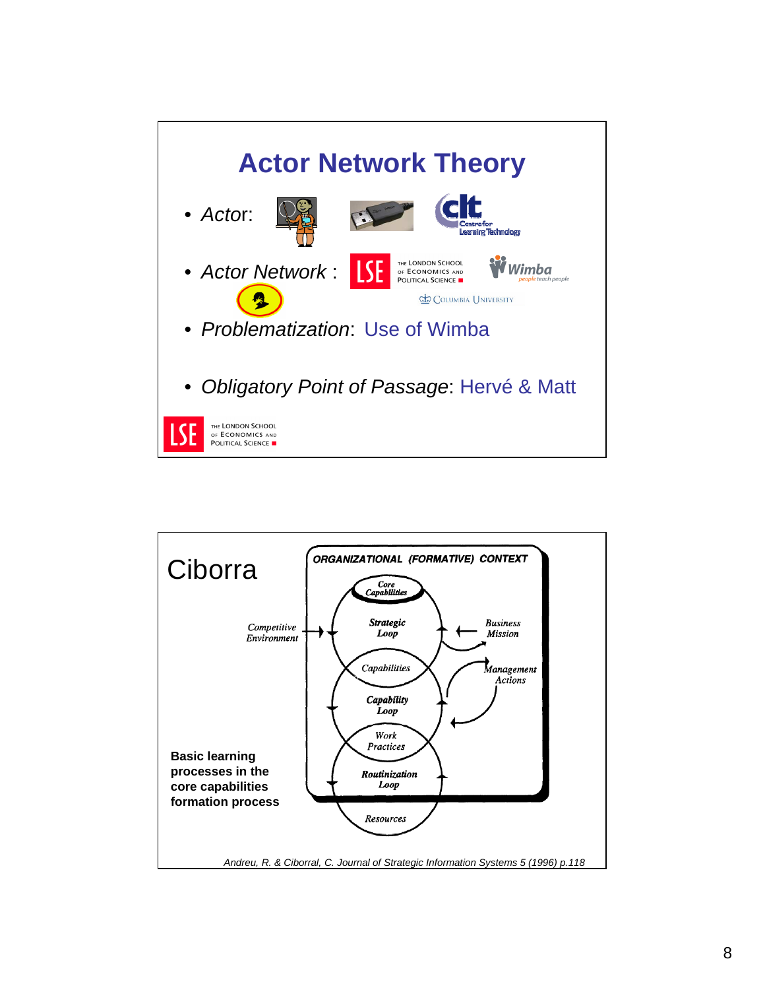

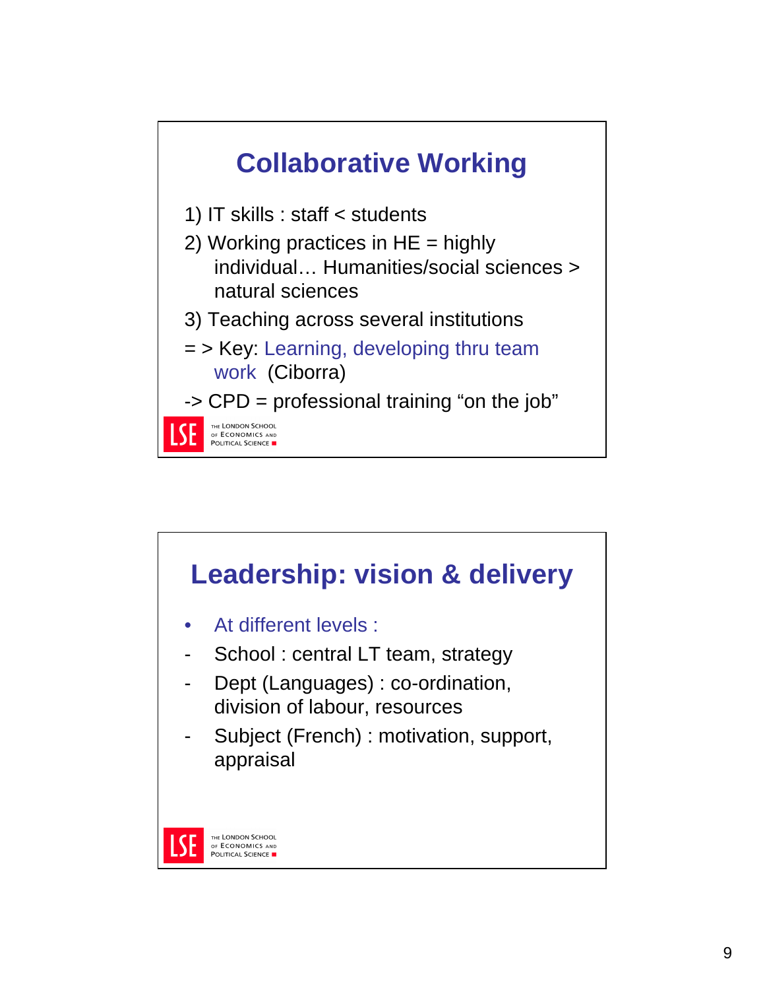

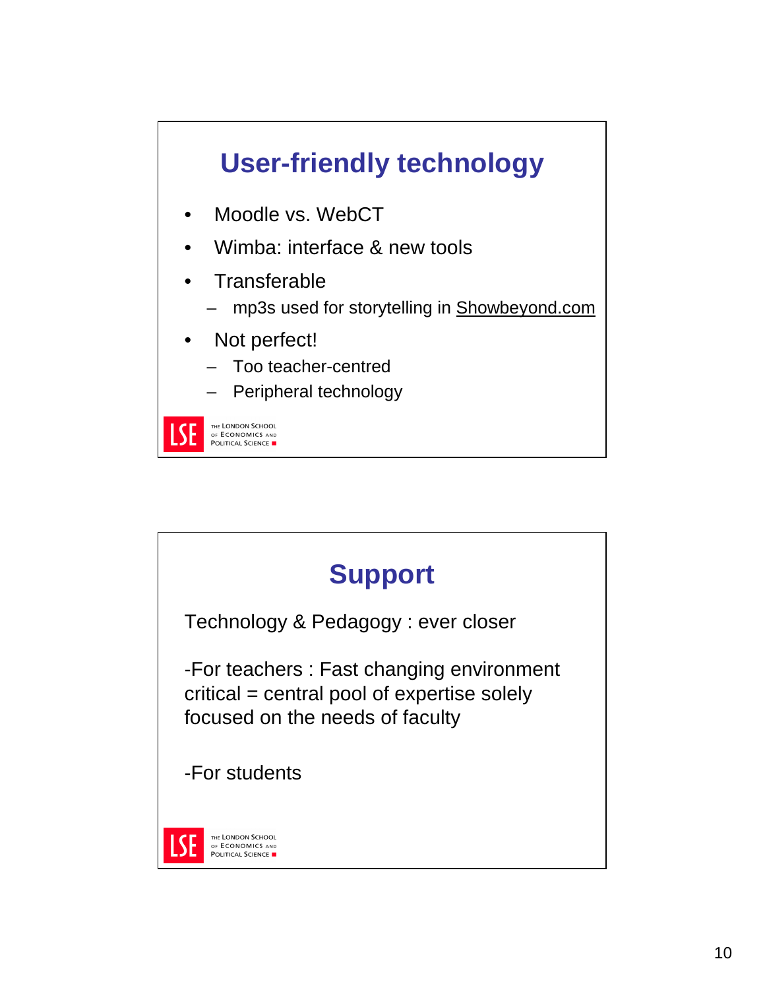# **User-friendly technology**

- Moodle vs. WebCT
- Wimba: interface & new tools
- **Transferable** 
	- mp3s used for storytelling in Showbeyond.com
- Not perfect!
	- Too teacher-centred
	- Peripheral technology

THE LONDON SCHOOL OF ECONOMICS AND POLITICAL SCIENCE